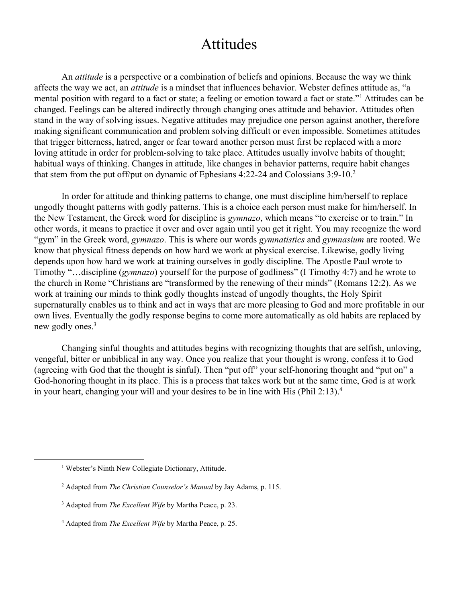## Attitudes

An *attitude* is a perspective or a combination of beliefs and opinions. Because the way we think affects the way we act, an *attitude* is a mindset that influences behavior. Webster defines attitude as, "a mental position with regard to a fact or state; a feeling or emotion toward a fact or state."<sup>1</sup> Attitudes can be changed. Feelings can be altered indirectly through changing ones attitude and behavior. Attitudes often stand in the way of solving issues. Negative attitudes may prejudice one person against another, therefore making significant communication and problem solving difficult or even impossible. Sometimes attitudes that trigger bitterness, hatred, anger or fear toward another person must first be replaced with a more loving attitude in order for problem-solving to take place. Attitudes usually involve habits of thought; habitual ways of thinking. Changes in attitude, like changes in behavior patterns, require habit changes that stem from the put off/put on dynamic of Ephesians  $4:22-24$  and Colossians  $3:9-10.<sup>2</sup>$ 

In order for attitude and thinking patterns to change, one must discipline him/herself to replace ungodly thought patterns with godly patterns. This is a choice each person must make for him/herself. In the New Testament, the Greek word for discipline is *gymnazo*, which means "to exercise or to train." In other words, it means to practice it over and over again until you get it right. You may recognize the word "gym" in the Greek word, *gymnazo*. This is where our words *gymnatistics* and *gymnasium* are rooted. We know that physical fitness depends on how hard we work at physical exercise. Likewise, godly living depends upon how hard we work at training ourselves in godly discipline. The Apostle Paul wrote to Timothy "…discipline (*gymnazo*) yourself for the purpose of godliness" (I Timothy 4:7) and he wrote to the church in Rome "Christians are "transformed by the renewing of their minds" (Romans 12:2). As we work at training our minds to think godly thoughts instead of ungodly thoughts, the Holy Spirit supernaturally enables us to think and act in ways that are more pleasing to God and more profitable in our own lives. Eventually the godly response begins to come more automatically as old habits are replaced by new godly ones.<sup>3</sup>

Changing sinful thoughts and attitudes begins with recognizing thoughts that are selfish, unloving, vengeful, bitter or unbiblical in any way. Once you realize that your thought is wrong, confess it to God (agreeing with God that the thought is sinful). Then "put off" your self-honoring thought and "put on" a God-honoring thought in its place. This is a process that takes work but at the same time, God is at work in your heart, changing your will and your desires to be in line with His (Phil 2:13). 4

<sup>&</sup>lt;sup>1</sup> Webster's Ninth New Collegiate Dictionary, Attitude.

<sup>2</sup> Adapted from *The Christian Counselor's Manual* by Jay Adams, p. 115.

<sup>3</sup> Adapted from *The Excellent Wife* by Martha Peace, p. 23.

<sup>4</sup> Adapted from *The Excellent Wife* by Martha Peace, p. 25.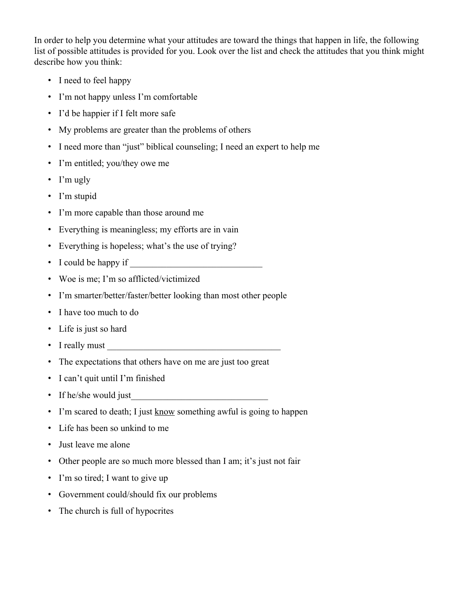In order to help you determine what your attitudes are toward the things that happen in life, the following list of possible attitudes is provided for you. Look over the list and check the attitudes that you think might describe how you think:

- I need to feel happy
- I'm not happy unless I'm comfortable
- I'd be happier if I felt more safe
- My problems are greater than the problems of others
- I need more than "just" biblical counseling; I need an expert to help me
- I'm entitled; you/they owe me
- I'm ugly
- I'm stupid
- I'm more capable than those around me
- Everything is meaningless; my efforts are in vain
- Everything is hopeless; what's the use of trying?
- I could be happy if
- Woe is me; I'm so afflicted/victimized
- I'm smarter/better/faster/better looking than most other people
- I have too much to do
- Life is just so hard
- I really must
- The expectations that others have on me are just too great
- I can't quit until I'm finished
- If he/she would just
- I'm scared to death; I just know something awful is going to happen
- Life has been so unkind to me
- Just leave me alone
- Other people are so much more blessed than I am; it's just not fair
- I'm so tired; I want to give up
- Government could/should fix our problems
- The church is full of hypocrites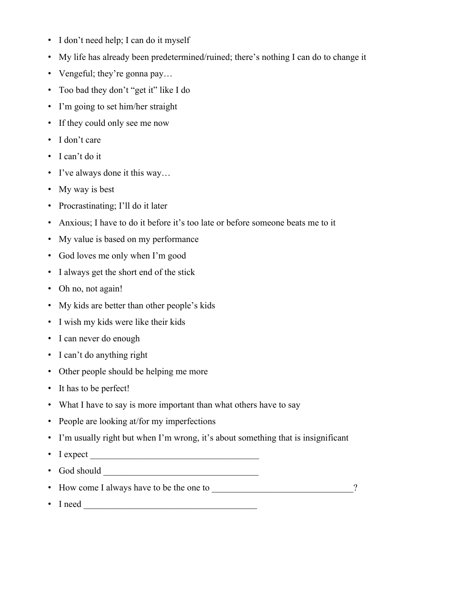- I don't need help; I can do it myself
- My life has already been predetermined/ruined; there's nothing I can do to change it
- Vengeful; they're gonna pay...
- Too bad they don't "get it" like I do
- I'm going to set him/her straight
- If they could only see me now
- I don't care
- I can't do it
- I've always done it this way...
- My way is best
- Procrastinating; I'll do it later
- Anxious; I have to do it before it's too late or before someone beats me to it
- My value is based on my performance
- God loves me only when I'm good
- I always get the short end of the stick
- Oh no, not again!
- My kids are better than other people's kids
- I wish my kids were like their kids
- I can never do enough
- I can't do anything right
- Other people should be helping me more
- It has to be perfect!
- What I have to say is more important than what others have to say
- People are looking at/for my imperfections
- I'm usually right but when I'm wrong, it's about something that is insignificant
- I expect  $\overline{\phantom{a}}$
- God should \_\_\_\_\_\_\_\_\_\_\_\_\_\_\_\_\_\_\_\_\_\_\_\_\_\_\_\_\_\_\_\_\_\_
- How come I always have to be the one to \_\_\_\_\_\_\_\_\_\_\_\_\_\_\_\_\_\_\_\_\_\_\_\_\_\_\_\_\_\_\_?
- I need \_\_\_\_\_\_\_\_\_\_\_\_\_\_\_\_\_\_\_\_\_\_\_\_\_\_\_\_\_\_\_\_\_\_\_\_\_\_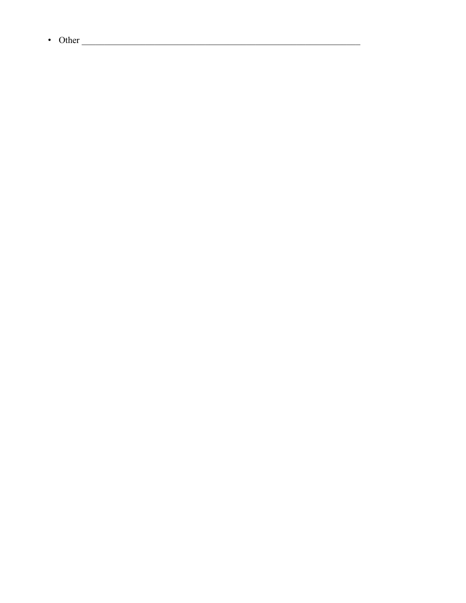$\bullet$  Other

 $\overline{a}$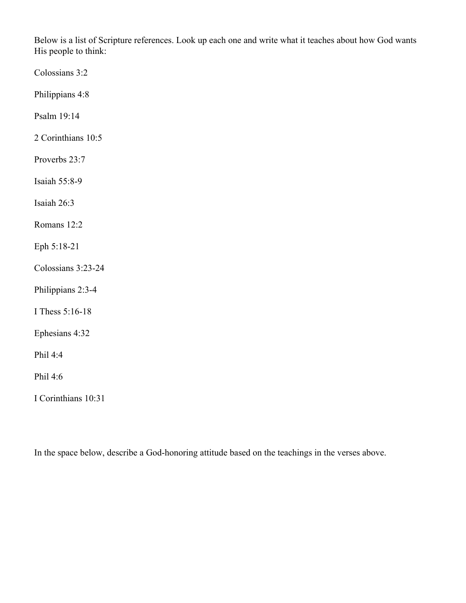Below is a list of Scripture references. Look up each one and write what it teaches about how God wants His people to think:

Colossians 3:2

Philippians 4:8

Psalm 19:14

2 Corinthians 10:5

Proverbs 23:7

Isaiah 55:8-9

Isaiah 26:3

Romans 12:2

Eph 5:18-21

Colossians 3:23-24

Philippians 2:3-4

I Thess 5:16-18

Ephesians 4:32

Phil 4:4

Phil 4:6

I Corinthians 10:31

In the space below, describe a God-honoring attitude based on the teachings in the verses above.